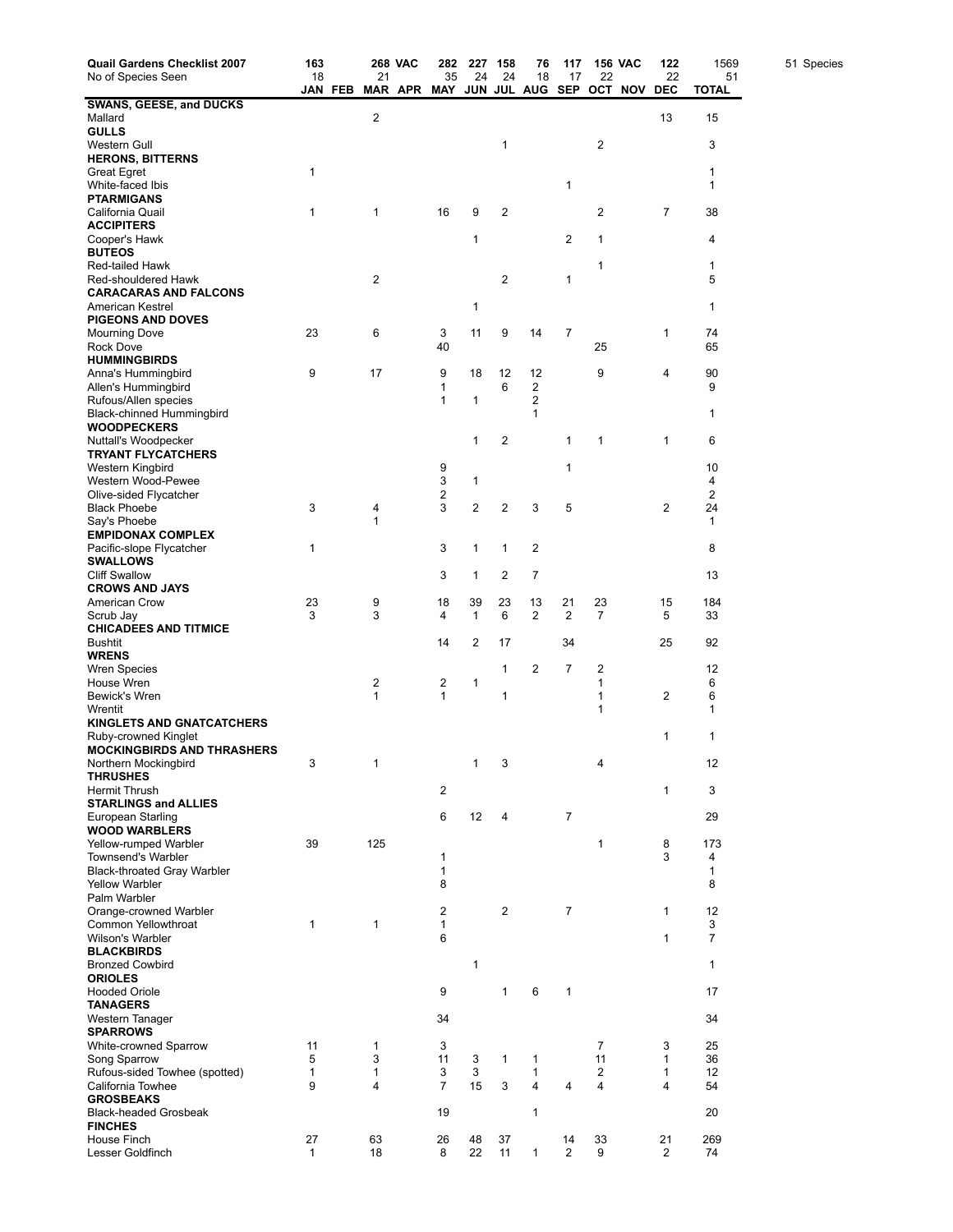| Quail Gardens Checklist 2007<br>No of Species Seen          | 163               |         |                   | <b>268 VAC</b> | 282                                           | 227                     | 158                     | 76                      | 117                  |                         | <b>156 VAC</b> | 122                          | 1569               | 51 Species |
|-------------------------------------------------------------|-------------------|---------|-------------------|----------------|-----------------------------------------------|-------------------------|-------------------------|-------------------------|----------------------|-------------------------|----------------|------------------------------|--------------------|------------|
|                                                             | 18                |         | 21                |                | 35<br>MAR APR MAY JUN JUL AUG SEP OCT NOV DEC | 24                      | 24                      | 18                      | 17                   | 22                      |                | 22                           | 51<br><b>TOTAL</b> |            |
| <b>SWANS, GEESE, and DUCKS</b>                              |                   | JAN FEB |                   |                |                                               |                         |                         |                         |                      |                         |                |                              |                    |            |
| Mallard                                                     |                   |         | $\overline{2}$    |                |                                               |                         |                         |                         |                      |                         |                | 13                           | 15                 |            |
| <b>GULLS</b>                                                |                   |         |                   |                |                                               |                         |                         |                         |                      |                         |                |                              |                    |            |
| Western Gull<br><b>HERONS, BITTERNS</b>                     |                   |         |                   |                |                                               |                         | 1                       |                         |                      | $\overline{\mathbf{c}}$ |                |                              | 3                  |            |
| Great Egret                                                 | $\mathbf{1}$      |         |                   |                |                                               |                         |                         |                         |                      |                         |                |                              | 1                  |            |
| White-faced Ibis                                            |                   |         |                   |                |                                               |                         |                         |                         | 1                    |                         |                |                              | 1                  |            |
| PTARMIGANS                                                  |                   |         |                   |                |                                               |                         |                         |                         |                      |                         |                |                              |                    |            |
| California Quail<br><b>ACCIPITERS</b>                       | 1                 |         | 1                 |                | 16                                            | 9                       | 2                       |                         |                      | 2                       |                | 7                            | 38                 |            |
| Cooper's Hawk                                               |                   |         |                   |                |                                               | 1                       |                         |                         | 2                    | 1                       |                |                              | 4                  |            |
| <b>BUTEOS</b>                                               |                   |         |                   |                |                                               |                         |                         |                         |                      |                         |                |                              |                    |            |
| Red-tailed Hawk                                             |                   |         |                   |                |                                               |                         |                         |                         |                      | 1                       |                |                              | 1                  |            |
| Red-shouldered Hawk<br><b>CARACARAS AND FALCONS</b>         |                   |         | 2                 |                |                                               |                         | $\overline{2}$          |                         | 1                    |                         |                |                              | 5                  |            |
| American Kestrel                                            |                   |         |                   |                |                                               | 1                       |                         |                         |                      |                         |                |                              | 1                  |            |
| <b>PIGEONS AND DOVES</b>                                    |                   |         |                   |                |                                               |                         |                         |                         |                      |                         |                |                              |                    |            |
| <b>Mourning Dove</b>                                        | 23                |         | 6                 |                | 3                                             | 11                      | 9                       | 14                      | 7                    |                         |                | 1                            | 74                 |            |
| Rock Dove<br><b>HUMMINGBIRDS</b>                            |                   |         |                   |                | 40                                            |                         |                         |                         |                      | 25                      |                |                              | 65                 |            |
| Anna's Hummingbird                                          | 9                 |         | 17                |                | 9                                             | 18                      | 12                      | 12                      |                      | 9                       |                | 4                            | 90                 |            |
| Allen's Hummingbird                                         |                   |         |                   |                | 1                                             |                         | 6                       | 2                       |                      |                         |                |                              | 9                  |            |
| Rufous/Allen species                                        |                   |         |                   |                | $\mathbf{1}$                                  | 1                       |                         | 2                       |                      |                         |                |                              |                    |            |
| Black-chinned Hummingbird<br><b>WOODPECKERS</b>             |                   |         |                   |                |                                               |                         |                         | 1                       |                      |                         |                |                              | 1                  |            |
| Nuttall's Woodpecker                                        |                   |         |                   |                |                                               | 1                       | 2                       |                         | 1                    | 1                       |                | 1                            | 6                  |            |
| <b>TRYANT FLYCATCHERS</b>                                   |                   |         |                   |                |                                               |                         |                         |                         |                      |                         |                |                              |                    |            |
| Western Kingbird                                            |                   |         |                   |                | 9                                             |                         |                         |                         | 1                    |                         |                |                              | 10                 |            |
| Western Wood-Pewee<br>Olive-sided Flycatcher                |                   |         |                   |                | 3<br>2                                        | 1                       |                         |                         |                      |                         |                |                              | 4<br>2             |            |
| <b>Black Phoebe</b>                                         | 3                 |         | 4                 |                | 3                                             | $\overline{\mathbf{c}}$ | $\overline{\mathbf{c}}$ | 3                       | 5                    |                         |                | 2                            | 24                 |            |
| Say's Phoebe                                                |                   |         | 1                 |                |                                               |                         |                         |                         |                      |                         |                |                              | $\mathbf{1}$       |            |
| <b>EMPIDONAX COMPLEX</b>                                    |                   |         |                   |                |                                               |                         |                         |                         |                      |                         |                |                              |                    |            |
| Pacific-slope Flycatcher<br><b>SWALLOWS</b>                 | 1                 |         |                   |                | 3                                             | $\mathbf{1}$            | 1                       | $\overline{\mathbf{c}}$ |                      |                         |                |                              | 8                  |            |
| <b>Cliff Swallow</b>                                        |                   |         |                   |                | 3                                             | 1                       | 2                       | 7                       |                      |                         |                |                              | 13                 |            |
| <b>CROWS AND JAYS</b>                                       |                   |         |                   |                |                                               |                         |                         |                         |                      |                         |                |                              |                    |            |
| American Crow                                               | 23<br>3           |         | 9<br>3            |                | 18                                            | 39                      | 23                      | 13<br>2                 | 21<br>$\overline{2}$ | 23<br>$\overline{7}$    |                | 15                           | 184                |            |
| Scrub Jay<br><b>CHICADEES AND TITMICE</b>                   |                   |         |                   |                | 4                                             | 1                       | 6                       |                         |                      |                         |                | 5                            | 33                 |            |
| <b>Bushtit</b>                                              |                   |         |                   |                | 14                                            | 2                       | 17                      |                         | 34                   |                         |                | 25                           | 92                 |            |
| <b>WRENS</b>                                                |                   |         |                   |                |                                               |                         |                         |                         |                      |                         |                |                              |                    |            |
| <b>Wren Species</b><br>House Wren                           |                   |         |                   |                |                                               | 1                       | 1                       | 2                       | 7                    | 2<br>1                  |                |                              | 12<br>6            |            |
| Bewick's Wren                                               |                   |         | 2<br>1            |                | 2<br>$\mathbf{1}$                             |                         | 1                       |                         |                      | 1                       |                | 2                            | 6                  |            |
| Wrentit                                                     |                   |         |                   |                |                                               |                         |                         |                         |                      | 1                       |                |                              | 1                  |            |
| <b>KINGLETS AND GNATCATCHERS</b>                            |                   |         |                   |                |                                               |                         |                         |                         |                      |                         |                |                              |                    |            |
| Ruby-crowned Kinglet<br><b>MOCKINGBIRDS AND THRASHERS</b>   |                   |         |                   |                |                                               |                         |                         |                         |                      |                         |                | 1                            | 1                  |            |
| Northern Mockingbird                                        | 3                 |         | 1                 |                |                                               | $\mathbf{1}$            | 3                       |                         |                      | 4                       |                |                              | 12                 |            |
| <b>THRUSHES</b>                                             |                   |         |                   |                |                                               |                         |                         |                         |                      |                         |                |                              |                    |            |
| Hermit Thrush                                               |                   |         |                   |                | $\overline{\mathbf{c}}$                       |                         |                         |                         |                      |                         |                | 1                            | 3                  |            |
| <b>STARLINGS and ALLIES</b><br>European Starling            |                   |         |                   |                | 6                                             | 12                      | 4                       |                         | $\overline{7}$       |                         |                |                              | 29                 |            |
| <b>WOOD WARBLERS</b>                                        |                   |         |                   |                |                                               |                         |                         |                         |                      |                         |                |                              |                    |            |
| Yellow-rumped Warbler                                       | 39                |         | 125               |                |                                               |                         |                         |                         |                      | 1                       |                | 8                            | 173                |            |
| Townsend's Warbler                                          |                   |         |                   |                | 1                                             |                         |                         |                         |                      |                         |                | 3                            | 4                  |            |
| <b>Black-throated Gray Warbler</b><br><b>Yellow Warbler</b> |                   |         |                   |                | 1<br>8                                        |                         |                         |                         |                      |                         |                |                              | 1<br>8             |            |
| Palm Warbler                                                |                   |         |                   |                |                                               |                         |                         |                         |                      |                         |                |                              |                    |            |
| Orange-crowned Warbler                                      |                   |         |                   |                | 2                                             |                         | $\overline{2}$          |                         | $\overline{7}$       |                         |                | $\mathbf{1}$                 | 12                 |            |
| Common Yellowthroat<br>Wilson's Warbler                     | $\mathbf{1}$      |         | 1                 |                | $\mathbf{1}$<br>6                             |                         |                         |                         |                      |                         |                | $\mathbf{1}$                 | 3<br>7             |            |
| <b>BLACKBIRDS</b>                                           |                   |         |                   |                |                                               |                         |                         |                         |                      |                         |                |                              |                    |            |
| <b>Bronzed Cowbird</b>                                      |                   |         |                   |                |                                               | 1                       |                         |                         |                      |                         |                |                              | $\mathbf{1}$       |            |
| <b>ORIOLES</b>                                              |                   |         |                   |                |                                               |                         |                         |                         |                      |                         |                |                              |                    |            |
| <b>Hooded Oriole</b><br><b>TANAGERS</b>                     |                   |         |                   |                | 9                                             |                         | 1                       | 6                       | 1                    |                         |                |                              | 17                 |            |
| Western Tanager                                             |                   |         |                   |                | 34                                            |                         |                         |                         |                      |                         |                |                              | 34                 |            |
| <b>SPARROWS</b>                                             |                   |         |                   |                |                                               |                         |                         |                         |                      |                         |                |                              |                    |            |
| White-crowned Sparrow                                       | 11                |         | 1                 |                | 3                                             |                         |                         |                         |                      | 7                       |                | 3                            | 25                 |            |
| Song Sparrow<br>Rufous-sided Towhee (spotted)               | 5<br>$\mathbf{1}$ |         | 3<br>$\mathbf{1}$ |                | 11<br>3                                       | 3<br>3                  | $\mathbf{1}$            | $\mathbf{1}$            |                      | 11<br>$\overline{2}$    |                | $\mathbf{1}$<br>$\mathbf{1}$ | 36<br>12           |            |
| California Towhee                                           | 9                 |         | 4                 |                | $\overline{7}$                                | 15                      | 3                       | $\mathbf{1}$<br>4       | $\overline{4}$       | 4                       |                | 4                            | 54                 |            |
| <b>GROSBEAKS</b>                                            |                   |         |                   |                |                                               |                         |                         |                         |                      |                         |                |                              |                    |            |
| <b>Black-headed Grosbeak</b>                                |                   |         |                   |                | 19                                            |                         |                         | 1                       |                      |                         |                |                              | 20                 |            |
| <b>FINCHES</b><br>House Finch                               | 27                |         | 63                |                | 26                                            | 48                      | 37                      |                         | 14                   | 33                      |                | 21                           | 269                |            |
| Lesser Goldfinch                                            | $\mathbf{1}$      |         | 18                |                | 8                                             | 22                      | 11                      | 1                       | $\overline{2}$       | 9                       |                | $\overline{2}$               | 74                 |            |